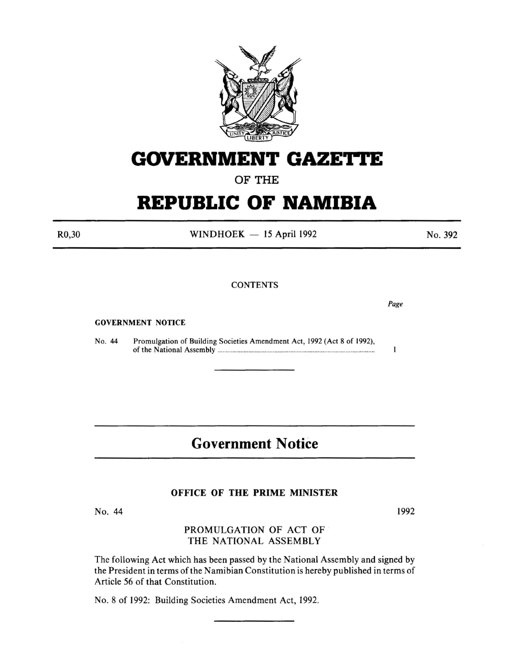

# **GOVERNMENT GAZETTE**

OF THE

## **REPUBLIC OF NAMIBIA**

R0,30

 $WINDHOEK - 15$  April 1992

**CONTENTS** 

GOVERNMENT NOTICE

No. 44 Promulgation of Building Societies Amendment Act, 1992 (Act 8 of 1992), of the National Assembly ........................................................................... ...... ............... .

### **Government Notice**

#### OFFICE OF THE PRIME MINISTER

No. 44

#### PROMULGATION OF ACT OF THE NATIONAL ASSEMBLY

The following Act which has been passed by the National Assembly and signed by the President in terms of the Namibian Constitution is hereby published in terms of Article 56 of that Constitution.

No.8 of 1992: Building Societies Amendment Act, 1992.

*Page* 

 $\mathbf{I}$ 

No. 392

1992